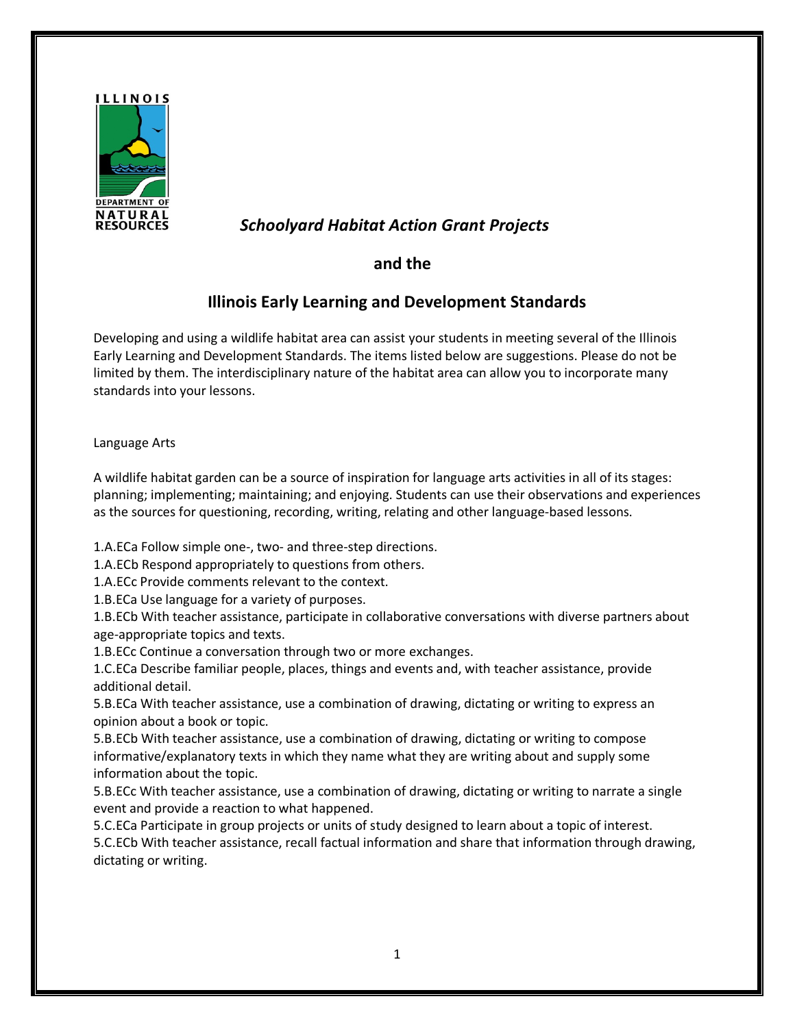

# *Schoolyard Habitat Action Grant Projects*

### **and the**

## **Illinois Early Learning and Development Standards**

Developing and using a wildlife habitat area can assist your students in meeting several of the Illinois Early Learning and Development Standards. The items listed below are suggestions. Please do not be limited by them. The interdisciplinary nature of the habitat area can allow you to incorporate many standards into your lessons.

Language Arts

A wildlife habitat garden can be a source of inspiration for language arts activities in all of its stages: planning; implementing; maintaining; and enjoying. Students can use their observations and experiences as the sources for questioning, recording, writing, relating and other language-based lessons.

1.A.ECa Follow simple one-, two- and three-step directions.

1.A.ECb Respond appropriately to questions from others.

1.A.ECc Provide comments relevant to the context.

1.B.ECa Use language for a variety of purposes.

1.B.ECb With teacher assistance, participate in collaborative conversations with diverse partners about age-appropriate topics and texts.

1.B.ECc Continue a conversation through two or more exchanges.

1.C.ECa Describe familiar people, places, things and events and, with teacher assistance, provide additional detail.

5.B.ECa With teacher assistance, use a combination of drawing, dictating or writing to express an opinion about a book or topic.

5.B.ECb With teacher assistance, use a combination of drawing, dictating or writing to compose informative/explanatory texts in which they name what they are writing about and supply some information about the topic.

5.B.ECc With teacher assistance, use a combination of drawing, dictating or writing to narrate a single event and provide a reaction to what happened.

5.C.ECa Participate in group projects or units of study designed to learn about a topic of interest. 5.C.ECb With teacher assistance, recall factual information and share that information through drawing, dictating or writing.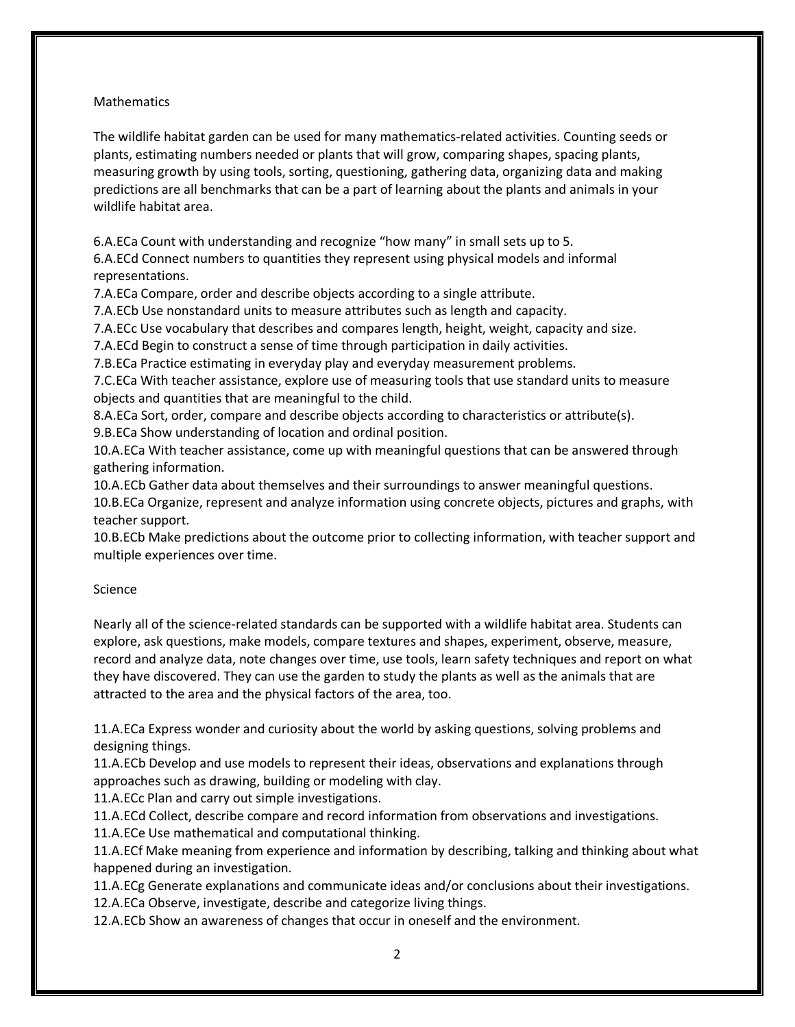#### **Mathematics**

The wildlife habitat garden can be used for many mathematics-related activities. Counting seeds or plants, estimating numbers needed or plants that will grow, comparing shapes, spacing plants, measuring growth by using tools, sorting, questioning, gathering data, organizing data and making predictions are all benchmarks that can be a part of learning about the plants and animals in your wildlife habitat area.

6.A.ECa Count with understanding and recognize "how many" in small sets up to 5.

6.A.ECd Connect numbers to quantities they represent using physical models and informal representations.

7.A.ECa Compare, order and describe objects according to a single attribute.

7.A.ECb Use nonstandard units to measure attributes such as length and capacity.

7.A.ECc Use vocabulary that describes and compares length, height, weight, capacity and size.

7.A.ECd Begin to construct a sense of time through participation in daily activities.

7.B.ECa Practice estimating in everyday play and everyday measurement problems.

7.C.ECa With teacher assistance, explore use of measuring tools that use standard units to measure objects and quantities that are meaningful to the child.

8.A.ECa Sort, order, compare and describe objects according to characteristics or attribute(s).

9.B.ECa Show understanding of location and ordinal position.

10.A.ECa With teacher assistance, come up with meaningful questions that can be answered through gathering information.

10.A.ECb Gather data about themselves and their surroundings to answer meaningful questions. 10.B.ECa Organize, represent and analyze information using concrete objects, pictures and graphs, with teacher support.

10.B.ECb Make predictions about the outcome prior to collecting information, with teacher support and multiple experiences over time.

#### Science

Nearly all of the science-related standards can be supported with a wildlife habitat area. Students can explore, ask questions, make models, compare textures and shapes, experiment, observe, measure, record and analyze data, note changes over time, use tools, learn safety techniques and report on what they have discovered. They can use the garden to study the plants as well as the animals that are attracted to the area and the physical factors of the area, too.

11.A.ECa Express wonder and curiosity about the world by asking questions, solving problems and designing things.

11.A.ECb Develop and use models to represent their ideas, observations and explanations through approaches such as drawing, building or modeling with clay.

11.A.ECc Plan and carry out simple investigations.

11.A.ECd Collect, describe compare and record information from observations and investigations.

11.A.ECe Use mathematical and computational thinking.

11.A.ECf Make meaning from experience and information by describing, talking and thinking about what happened during an investigation.

11.A.ECg Generate explanations and communicate ideas and/or conclusions about their investigations. 12.A.ECa Observe, investigate, describe and categorize living things.

12.A.ECb Show an awareness of changes that occur in oneself and the environment.